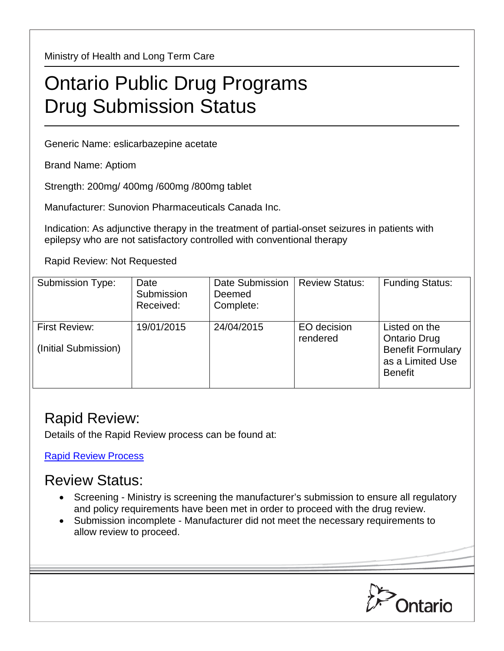Ministry of Health and Long Term Care

## Ontario Public Drug Programs Drug Submission Status

Generic Name: eslicarbazepine acetate

Brand Name: Aptiom

Strength: 200mg/ 400mg /600mg /800mg tablet

Manufacturer: Sunovion Pharmaceuticals Canada Inc.

Indication: As adjunctive therapy in the treatment of partial-onset seizures in patients with epilepsy who are not satisfactory controlled with conventional therapy

Rapid Review: Not Requested

| <b>Submission Type:</b>                      | Date<br>Submission<br>Received: | Date Submission<br>Deemed<br>Complete: | <b>Review Status:</b>   | <b>Funding Status:</b>                                                                                 |
|----------------------------------------------|---------------------------------|----------------------------------------|-------------------------|--------------------------------------------------------------------------------------------------------|
| <b>First Review:</b><br>(Initial Submission) | 19/01/2015                      | 24/04/2015                             | EO decision<br>rendered | Listed on the<br><b>Ontario Drug</b><br><b>Benefit Formulary</b><br>as a Limited Use<br><b>Benefit</b> |

## Rapid Review:

Details of the Rapid Review process can be found at:

[Rapid Review Process](http://www.health.gov.on.ca/en/pro/programs/drugs/drug_submissions/rapid_review_process.aspx)

## Review Status:

- Screening Ministry is screening the manufacturer's submission to ensure all regulatory and policy requirements have been met in order to proceed with the drug review.
- Submission incomplete Manufacturer did not meet the necessary requirements to allow review to proceed.